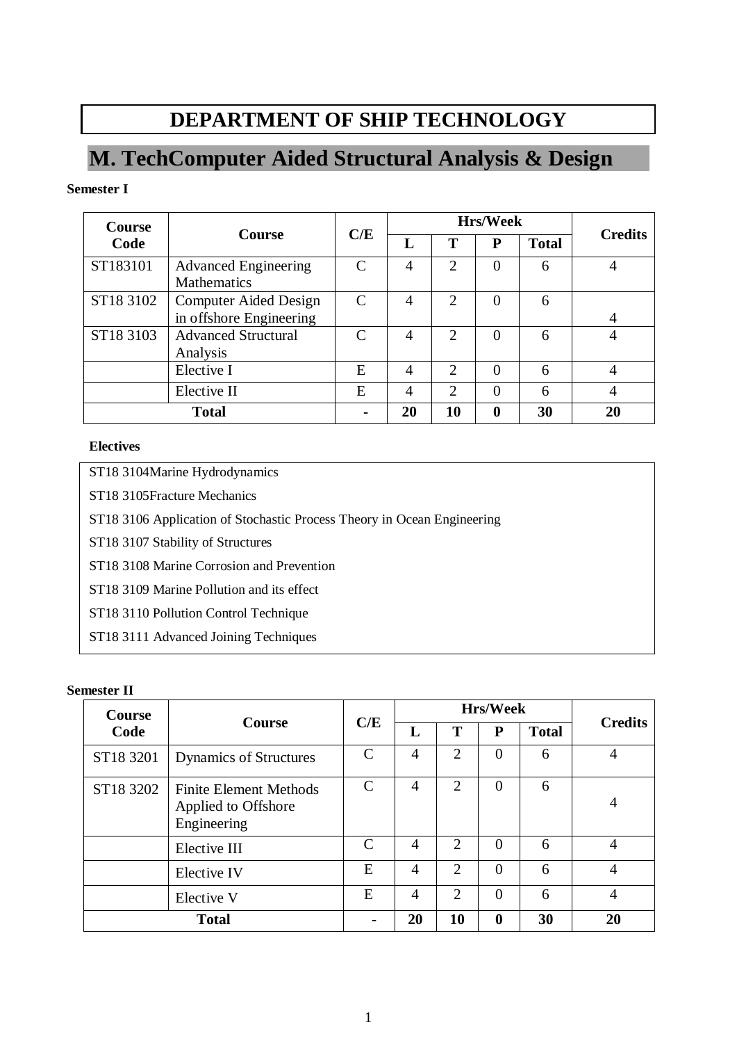# **DEPARTMENT OF SHIP TECHNOLOGY**

# **M. TechComputer Aided Structural Analysis & Design**

## **Semester I**

| <b>Course</b> |                                                         | C/E           | <b>Hrs/Week</b> |                             |          |              |                |
|---------------|---------------------------------------------------------|---------------|-----------------|-----------------------------|----------|--------------|----------------|
| Code          | <b>Course</b>                                           |               |                 | Т                           | P        | <b>Total</b> | <b>Credits</b> |
| ST183101      | <b>Advanced Engineering</b><br><b>Mathematics</b>       | C             | 4               | $\overline{2}$              | 0        | 6            |                |
| ST18 3102     | <b>Computer Aided Design</b><br>in offshore Engineering | $\mathcal{C}$ | 4               | $\overline{2}$              | $\theta$ | 6            | 4              |
| ST18 3103     | <b>Advanced Structural</b><br>Analysis                  | $\mathsf{C}$  | 4               | $\overline{2}$              | $\theta$ | 6            |                |
|               | Elective I                                              | E             | 4               | $\overline{2}$              | $\Omega$ | 6            |                |
|               | Elective II                                             | E             | 4               | $\mathcal{D}_{\mathcal{L}}$ | $\Omega$ | 6            | 4              |
| <b>Total</b>  |                                                         |               | 20              | 10                          | 0        | 30           | 20             |

## **Electives**

ST18 3104Marine Hydrodynamics

ST18 3105Fracture Mechanics

ST18 3106 Application of Stochastic Process Theory in Ocean Engineering

ST18 3107 Stability of Structures

ST18 3108 Marine Corrosion and Prevention

ST18 3109 Marine Pollution and its effect

ST18 3110 Pollution Control Technique

ST18 3111 Advanced Joining Techniques

## **Semester II**

| <b>Course</b> | <b>Course</b>                                                       | C/E           | <b>Hrs/Week</b> |                             |                  |              |                |
|---------------|---------------------------------------------------------------------|---------------|-----------------|-----------------------------|------------------|--------------|----------------|
| Code          |                                                                     |               | L               | Т                           | P                | <b>Total</b> | <b>Credits</b> |
| ST18 3201     | <b>Dynamics of Structures</b>                                       | C             | 4               | $\overline{2}$              | $\overline{0}$   | 6            | 4              |
| ST18 3202     | <b>Finite Element Methods</b><br>Applied to Offshore<br>Engineering | $\mathcal{C}$ | 4               | 2                           | $\Omega$         | 6            | 4              |
|               | Elective III                                                        | $\mathcal{C}$ | 4               | $\mathcal{D}_{\mathcal{L}}$ | $\Omega$         | 6            | 4              |
|               | Elective IV                                                         | Ε             | $\overline{A}$  | $\overline{2}$              | $\theta$         | 6            | 4              |
|               | Elective V                                                          | E             | $\overline{4}$  | 2                           | $\Omega$         | 6            | 4              |
|               | <b>Total</b>                                                        |               | 20              | 10                          | $\boldsymbol{0}$ | 30           | 20             |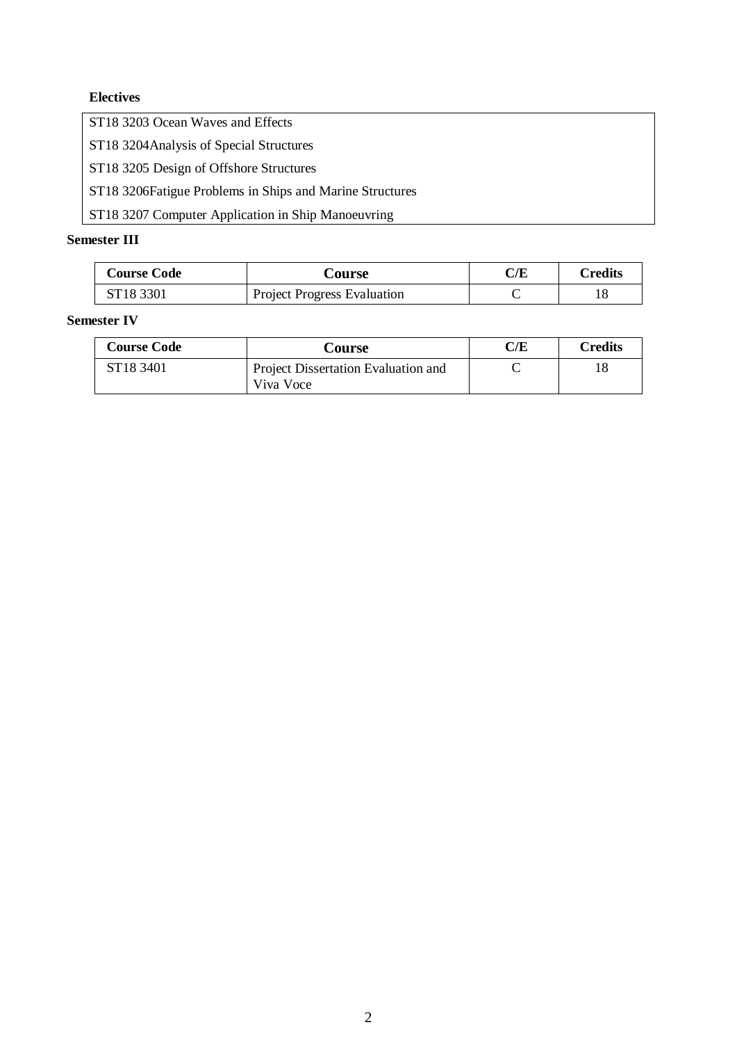## **Electives**

ST18 3203 Ocean Waves and Effects

ST18 3204Analysis of Special Structures

ST18 3205 Design of Offshore Structures

ST18 3206Fatigue Problems in Ships and Marine Structures

ST18 3207 Computer Application in Ship Manoeuvring

## **Semester III**

| <b>Course Code</b>    | <b>Course</b>                      | C/E | <b>Predits</b> |
|-----------------------|------------------------------------|-----|----------------|
| ST <sub>18</sub> 3301 | <b>Project Progress Evaluation</b> |     |                |

## **Semester IV**

| <b>Course Code</b>    | Course                                           | $\rm C/E$ | Credits |
|-----------------------|--------------------------------------------------|-----------|---------|
| ST <sub>18</sub> 3401 | Project Dissertation Evaluation and<br>Viva Voce |           |         |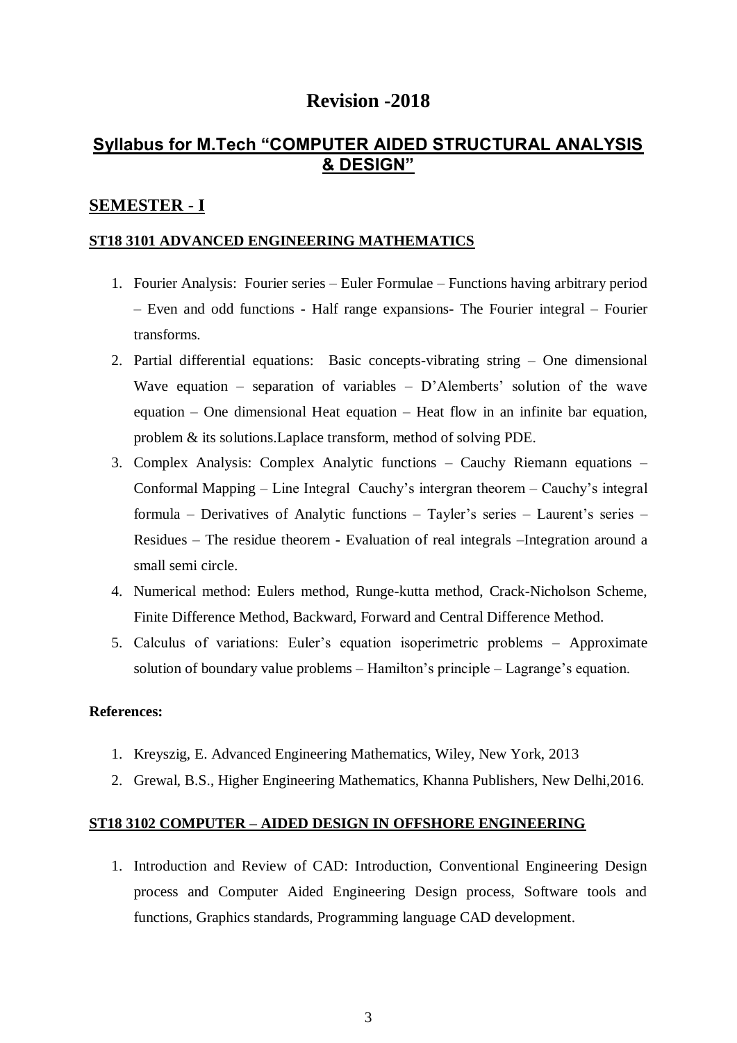# **Revision -2018**

# **Syllabus for M.Tech "COMPUTER AIDED STRUCTURAL ANALYSIS & DESIGN"**

## **SEMESTER - I**

## **ST18 3101 ADVANCED ENGINEERING MATHEMATICS**

- 1. Fourier Analysis: Fourier series Euler Formulae Functions having arbitrary period – Even and odd functions - Half range expansions- The Fourier integral – Fourier transforms.
- 2. Partial differential equations: Basic concepts-vibrating string One dimensional Wave equation – separation of variables –  $D'$ Alemberts' solution of the wave equation – One dimensional Heat equation – Heat flow in an infinite bar equation, problem & its solutions.Laplace transform, method of solving PDE.
- 3. Complex Analysis: Complex Analytic functions Cauchy Riemann equations Conformal Mapping – Line Integral Cauchy's intergran theorem – Cauchy's integral formula – Derivatives of Analytic functions – Tayler's series – Laurent's series – Residues – The residue theorem - Evaluation of real integrals –Integration around a small semi circle.
- 4. Numerical method: Eulers method, Runge-kutta method, Crack-Nicholson Scheme, Finite Difference Method, Backward, Forward and Central Difference Method.
- 5. Calculus of variations: Euler's equation isoperimetric problems Approximate solution of boundary value problems – Hamilton's principle – Lagrange's equation.

### **References:**

- 1. Kreyszig, E. Advanced Engineering Mathematics, Wiley, New York, 2013
- 2. Grewal, B.S., Higher Engineering Mathematics, Khanna Publishers, New Delhi,2016.

## **ST18 3102 COMPUTER – AIDED DESIGN IN OFFSHORE ENGINEERING**

1. Introduction and Review of CAD: Introduction, Conventional Engineering Design process and Computer Aided Engineering Design process, Software tools and functions, Graphics standards, Programming language CAD development.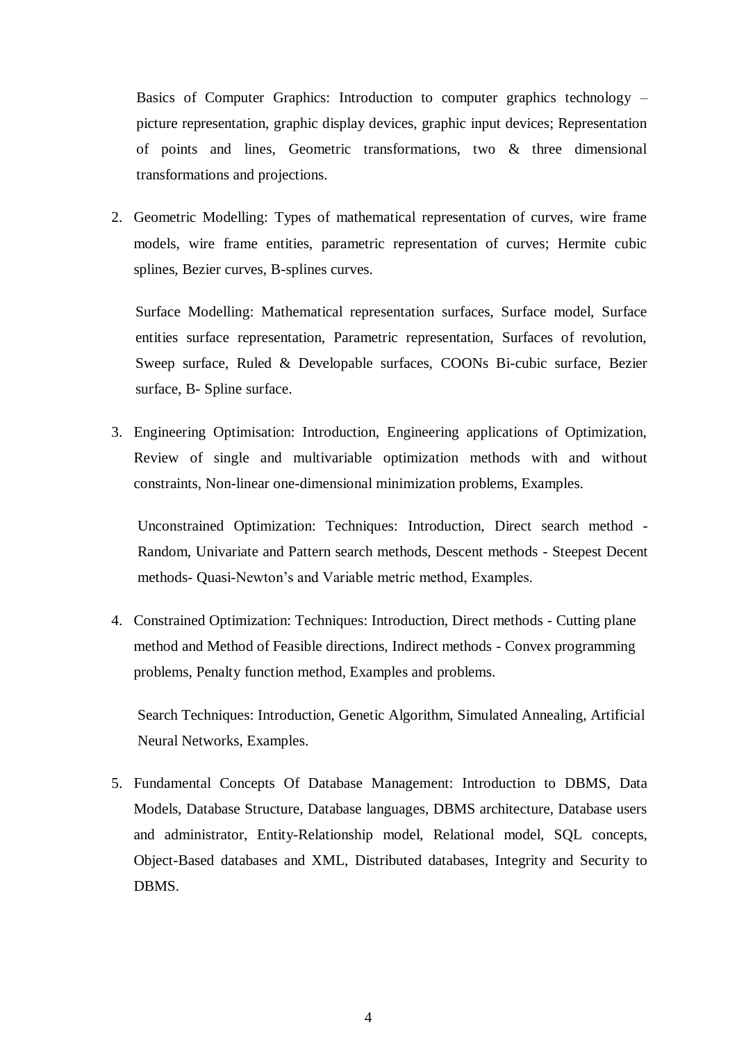Basics of Computer Graphics: Introduction to computer graphics technology – picture representation, graphic display devices, graphic input devices; Representation of points and lines, Geometric transformations, two & three dimensional transformations and projections.

2. Geometric Modelling: Types of mathematical representation of curves, wire frame models, wire frame entities, parametric representation of curves; Hermite cubic splines, Bezier curves, B-splines curves.

Surface Modelling: Mathematical representation surfaces, Surface model, Surface entities surface representation, Parametric representation, Surfaces of revolution, Sweep surface, Ruled & Developable surfaces, COONs Bi-cubic surface, Bezier surface, B- Spline surface.

3. Engineering Optimisation: Introduction, Engineering applications of Optimization, Review of single and multivariable optimization methods with and without constraints, Non-linear one-dimensional minimization problems, Examples.

Unconstrained Optimization: Techniques: Introduction, Direct search method - Random, Univariate and Pattern search methods, Descent methods - Steepest Decent methods- Quasi-Newton's and Variable metric method, Examples.

4. Constrained Optimization: Techniques: Introduction, Direct methods - Cutting plane method and Method of Feasible directions, Indirect methods - Convex programming problems, Penalty function method, Examples and problems.

Search Techniques: Introduction, Genetic Algorithm, Simulated Annealing, Artificial Neural Networks, Examples.

5. Fundamental Concepts Of Database Management: Introduction to DBMS, Data Models, Database Structure, Database languages, DBMS architecture, Database users and administrator, Entity-Relationship model, Relational model, SQL concepts, Object-Based databases and XML, Distributed databases, Integrity and Security to DBMS.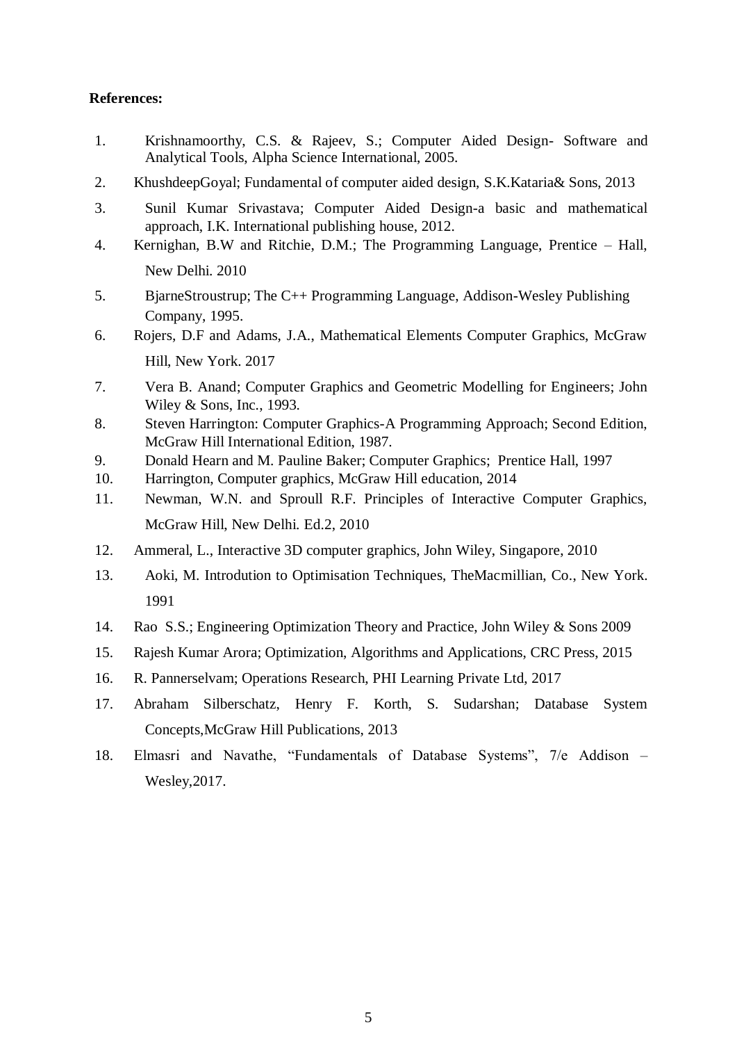- 1. Krishnamoorthy, C.S. & Rajeev, S.; Computer Aided Design- Software and Analytical Tools, Alpha Science International, 2005.
- 2. KhushdeepGoyal; Fundamental of computer aided design, S.K.Kataria& Sons, 2013
- 3. Sunil Kumar Srivastava; Computer Aided Design-a basic and mathematical approach, I.K. International publishing house, 2012.
- 4. Kernighan, B.W and Ritchie, D.M.; The Programming Language, Prentice Hall, New Delhi. 2010
- 5. BjarneStroustrup; The C++ Programming Language, Addison-Wesley Publishing Company, 1995.
- 6. Rojers, D.F and Adams, J.A., Mathematical Elements Computer Graphics, McGraw Hill, New York. 2017
- 7. Vera B. Anand; Computer Graphics and Geometric Modelling for Engineers; John Wiley & Sons, Inc., 1993.
- 8. Steven Harrington: Computer Graphics-A Programming Approach; Second Edition, McGraw Hill International Edition, 1987.
- 9. Donald Hearn and M. Pauline Baker; Computer Graphics; Prentice Hall, 1997
- 10. Harrington, Computer graphics, McGraw Hill education, 2014
- 11. Newman, W.N. and Sproull R.F. Principles of Interactive Computer Graphics, McGraw Hill, New Delhi. Ed.2, 2010
- 12. Ammeral, L., Interactive 3D computer graphics, John Wiley, Singapore, 2010
- 13. Aoki, M. Introdution to Optimisation Techniques, TheMacmillian, Co., New York. 1991
- 14. Rao S.S.; Engineering Optimization Theory and Practice, John Wiley & Sons 2009
- 15. Rajesh Kumar Arora; Optimization, Algorithms and Applications, CRC Press, 2015
- 16. R. Pannerselvam; Operations Research, PHI Learning Private Ltd, 2017
- 17. Abraham Silberschatz, Henry F. Korth, S. Sudarshan; Database System Concepts,McGraw Hill Publications, 2013
- 18. Elmasri and Navathe, "Fundamentals of Database Systems", 7/e Addison Wesley,2017.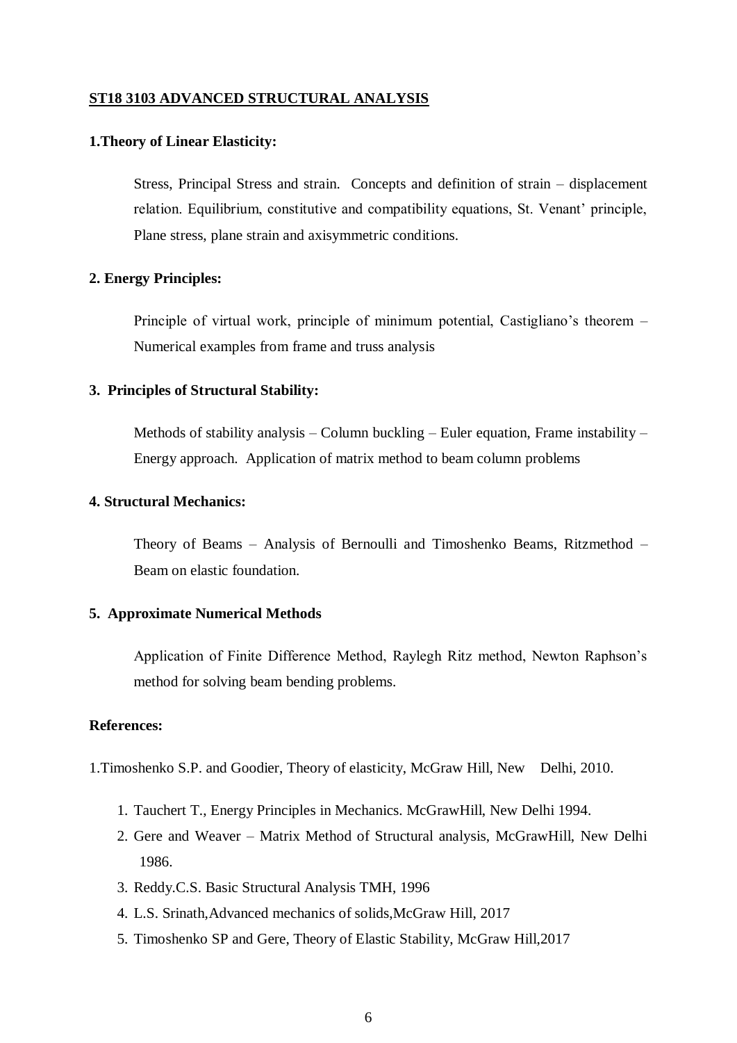#### **ST18 3103 ADVANCED STRUCTURAL ANALYSIS**

#### **1.Theory of Linear Elasticity:**

Stress, Principal Stress and strain. Concepts and definition of strain – displacement relation. Equilibrium, constitutive and compatibility equations, St. Venant' principle, Plane stress, plane strain and axisymmetric conditions.

#### **2. Energy Principles:**

Principle of virtual work, principle of minimum potential, Castigliano's theorem – Numerical examples from frame and truss analysis

#### **3. Principles of Structural Stability:**

Methods of stability analysis – Column buckling – Euler equation, Frame instability – Energy approach. Application of matrix method to beam column problems

## **4. Structural Mechanics:**

Theory of Beams – Analysis of Bernoulli and Timoshenko Beams, Ritzmethod – Beam on elastic foundation.

#### **5. Approximate Numerical Methods**

Application of Finite Difference Method, Raylegh Ritz method, Newton Raphson's method for solving beam bending problems.

## **References:**

1.Timoshenko S.P. and Goodier, Theory of elasticity, McGraw Hill, New Delhi, 2010.

- 1. Tauchert T., Energy Principles in Mechanics. McGrawHill, New Delhi 1994.
- 2. Gere and Weaver Matrix Method of Structural analysis, McGrawHill, New Delhi 1986.
- 3. Reddy.C.S. Basic Structural Analysis TMH, 1996
- 4. L.S. Srinath,Advanced mechanics of solids,McGraw Hill, 2017
- 5. Timoshenko SP and Gere, Theory of Elastic Stability, McGraw Hill,2017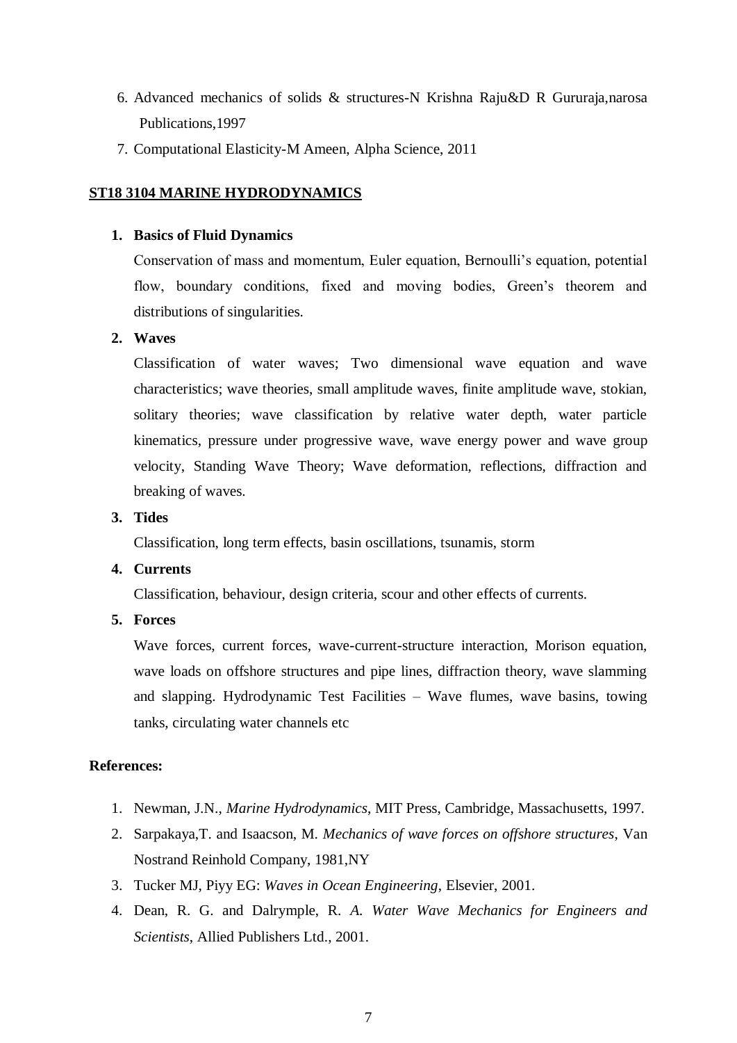- 6. Advanced mechanics of solids & structures-N Krishna Raju&D R Gururaja,narosa Publications,1997
- 7. Computational Elasticity-M Ameen, Alpha Science, 2011

## **ST18 3104 MARINE HYDRODYNAMICS**

## **1. Basics of Fluid Dynamics**

Conservation of mass and momentum, Euler equation, Bernoulli's equation, potential flow, boundary conditions, fixed and moving bodies, Green's theorem and distributions of singularities.

## **2. Waves**

Classification of water waves; Two dimensional wave equation and wave characteristics; wave theories, small amplitude waves, finite amplitude wave, stokian, solitary theories; wave classification by relative water depth, water particle kinematics, pressure under progressive wave, wave energy power and wave group velocity, Standing Wave Theory; Wave deformation, reflections, diffraction and breaking of waves.

## **3. Tides**

Classification, long term effects, basin oscillations, tsunamis, storm

## **4. Currents**

Classification, behaviour, design criteria, scour and other effects of currents.

**5. Forces**

Wave forces, current forces, wave-current-structure interaction, Morison equation, wave loads on offshore structures and pipe lines, diffraction theory, wave slamming and slapping. Hydrodynamic Test Facilities – Wave flumes, wave basins, towing tanks, circulating water channels etc

- 1. Newman, J.N., *Marine Hydrodynamics*, MIT Press, Cambridge, Massachusetts, 1997.
- 2. Sarpakaya,T. and Isaacson, M. *Mechanics of wave forces on offshore structures*, Van Nostrand Reinhold Company, 1981,NY
- 3. Tucker MJ, Piyy EG: *Waves in Ocean Engineering*, Elsevier, 2001.
- 4. Dean, R. G. and Dalrymple, R. *A. Water Wave Mechanics for Engineers and Scientists*, Allied Publishers Ltd., 2001.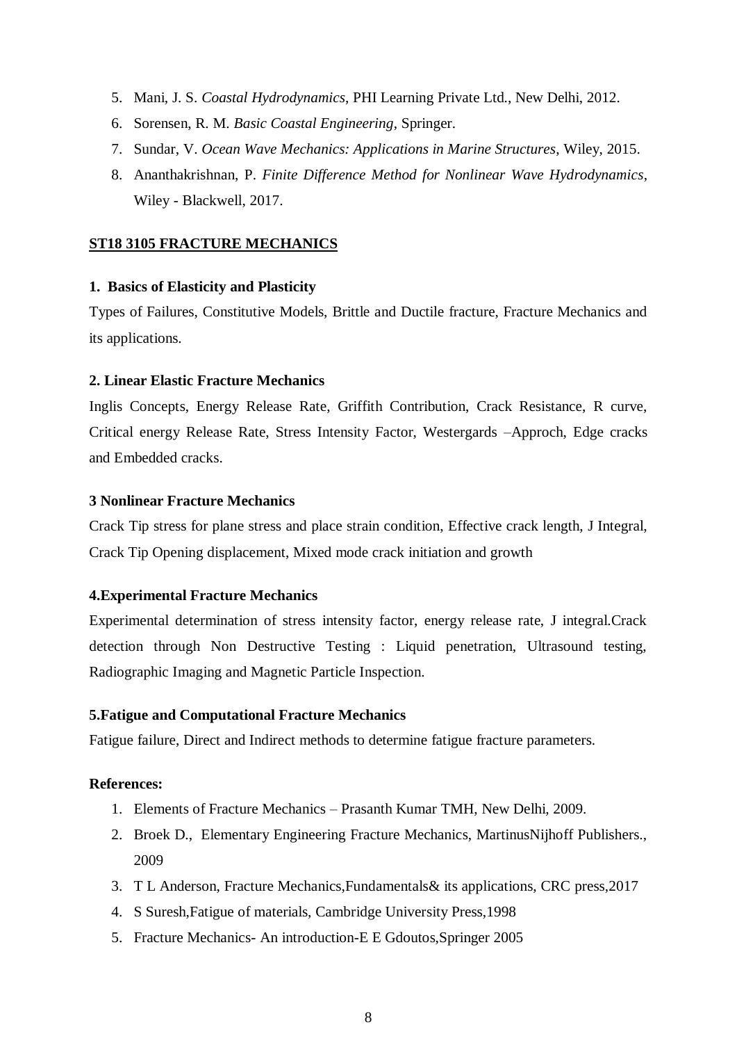- 5. Mani, J. S. *Coastal Hydrodynamics*, PHI Learning Private Ltd., New Delhi, 2012.
- 6. Sorensen, R. M. *Basic Coastal Engineering*, Springer.
- 7. Sundar, V. *Ocean Wave Mechanics: Applications in Marine Structures*, Wiley, 2015.
- 8. Ananthakrishnan, P. *Finite Difference Method for Nonlinear Wave Hydrodynamics*, Wiley - Blackwell, 2017.

#### **ST18 3105 FRACTURE MECHANICS**

#### **1. Basics of Elasticity and Plasticity**

Types of Failures, Constitutive Models, Brittle and Ductile fracture, Fracture Mechanics and its applications.

#### **2. Linear Elastic Fracture Mechanics**

Inglis Concepts, Energy Release Rate, Griffith Contribution, Crack Resistance, R curve, Critical energy Release Rate, Stress Intensity Factor, Westergards –Approch, Edge cracks and Embedded cracks.

#### **3 Nonlinear Fracture Mechanics**

Crack Tip stress for plane stress and place strain condition, Effective crack length, J Integral, Crack Tip Opening displacement, Mixed mode crack initiation and growth

#### **4.Experimental Fracture Mechanics**

Experimental determination of stress intensity factor, energy release rate, J integral.Crack detection through Non Destructive Testing : Liquid penetration, Ultrasound testing, Radiographic Imaging and Magnetic Particle Inspection.

#### **5.Fatigue and Computational Fracture Mechanics**

Fatigue failure, Direct and Indirect methods to determine fatigue fracture parameters.

- 1. Elements of Fracture Mechanics Prasanth Kumar TMH, New Delhi, 2009.
- 2. Broek D., Elementary Engineering Fracture Mechanics, MartinusNijhoff Publishers., 2009
- 3. T L Anderson, Fracture Mechanics,Fundamentals& its applications, CRC press,2017
- 4. S Suresh,Fatigue of materials, Cambridge University Press,1998
- 5. Fracture Mechanics- An introduction-E E Gdoutos,Springer 2005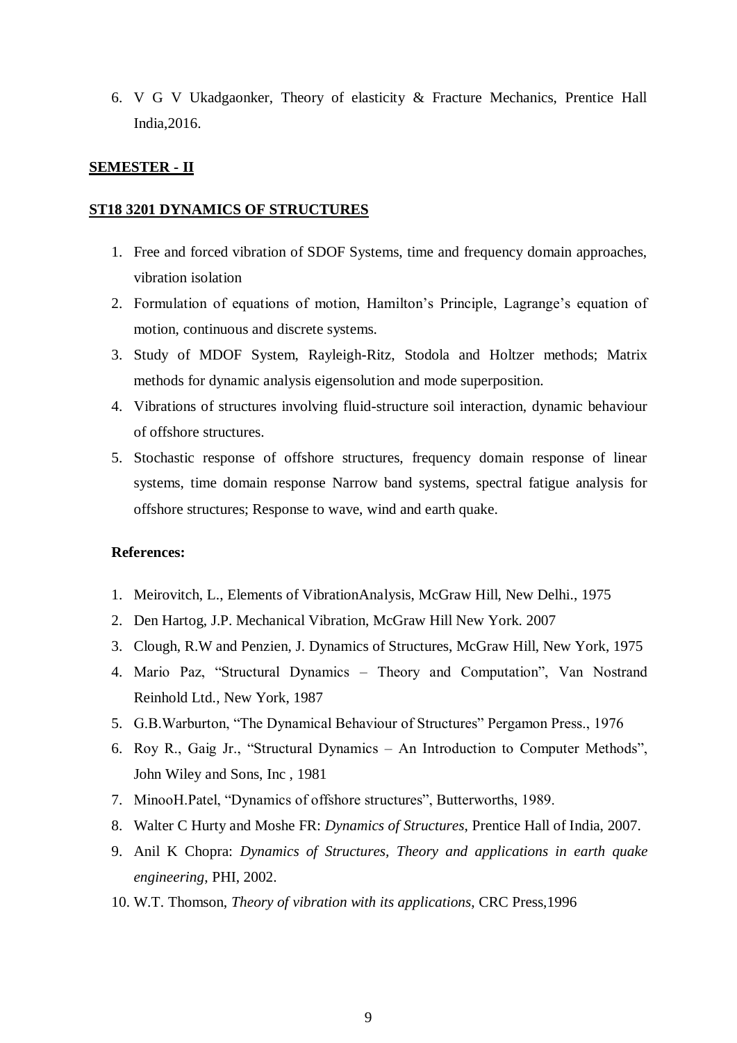6. V G V Ukadgaonker, Theory of elasticity & Fracture Mechanics, Prentice Hall India,2016.

#### **SEMESTER - II**

#### **ST18 3201 DYNAMICS OF STRUCTURES**

- 1. Free and forced vibration of SDOF Systems, time and frequency domain approaches, vibration isolation
- 2. Formulation of equations of motion, Hamilton's Principle, Lagrange's equation of motion, continuous and discrete systems.
- 3. Study of MDOF System, Rayleigh-Ritz, Stodola and Holtzer methods; Matrix methods for dynamic analysis eigensolution and mode superposition.
- 4. Vibrations of structures involving fluid-structure soil interaction, dynamic behaviour of offshore structures.
- 5. Stochastic response of offshore structures, frequency domain response of linear systems, time domain response Narrow band systems, spectral fatigue analysis for offshore structures; Response to wave, wind and earth quake.

- 1. Meirovitch, L., Elements of VibrationAnalysis, McGraw Hill, New Delhi., 1975
- 2. Den Hartog, J.P. Mechanical Vibration, McGraw Hill New York. 2007
- 3. Clough, R.W and Penzien, J. Dynamics of Structures, McGraw Hill, New York, 1975
- 4. Mario Paz, "Structural Dynamics Theory and Computation", Van Nostrand Reinhold Ltd., New York, 1987
- 5. G.B.Warburton, "The Dynamical Behaviour of Structures" Pergamon Press., 1976
- 6. Roy R., Gaig Jr., "Structural Dynamics An Introduction to Computer Methods", John Wiley and Sons, Inc , 1981
- 7. MinooH.Patel, "Dynamics of offshore structures", Butterworths, 1989.
- 8. Walter C Hurty and Moshe FR: *Dynamics of Structures*, Prentice Hall of India, 2007.
- 9. Anil K Chopra: *Dynamics of Structures, Theory and applications in earth quake engineering*, PHI, 2002.
- 10. W.T. Thomson, *Theory of vibration with its applications*, CRC Press,1996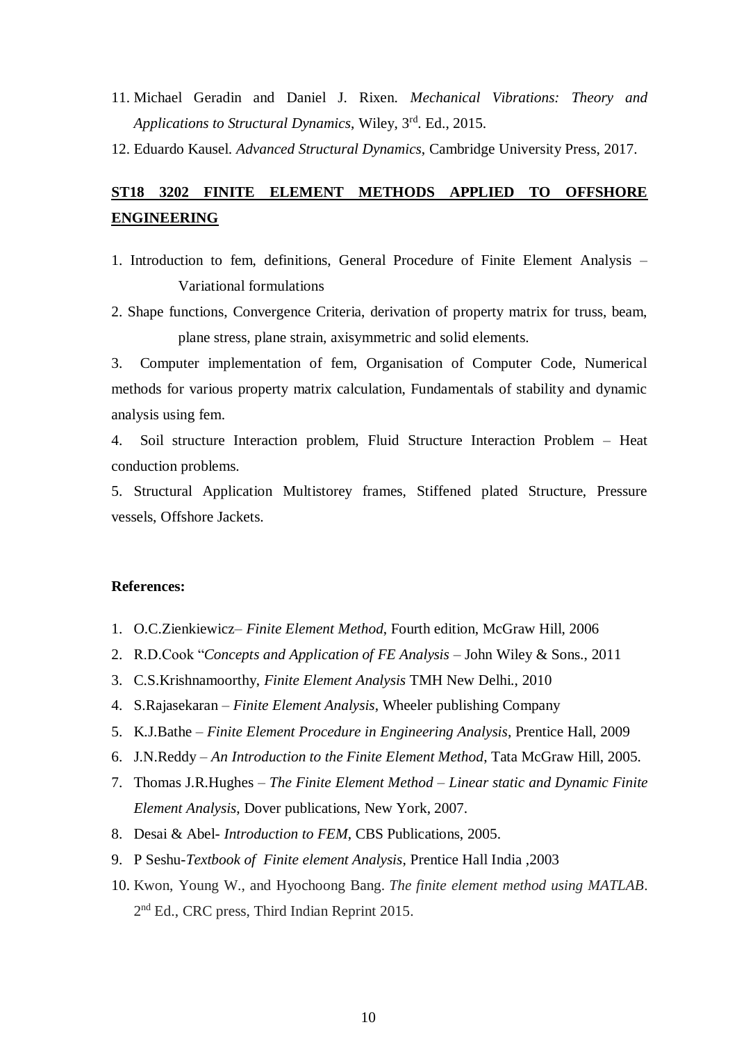- 11. Michael Geradin and Daniel J. Rixen. *Mechanical Vibrations: Theory and Applications to Structural Dynamics*, Wiley, 3rd. Ed., 2015.
- 12. Eduardo Kausel. *Advanced Structural Dynamics*, Cambridge University Press, 2017.

# **ST18 3202 FINITE ELEMENT METHODS APPLIED TO OFFSHORE ENGINEERING**

- 1. Introduction to fem, definitions, General Procedure of Finite Element Analysis Variational formulations
- 2. Shape functions, Convergence Criteria, derivation of property matrix for truss, beam, plane stress, plane strain, axisymmetric and solid elements.

3. Computer implementation of fem, Organisation of Computer Code, Numerical methods for various property matrix calculation, Fundamentals of stability and dynamic analysis using fem.

4. Soil structure Interaction problem, Fluid Structure Interaction Problem – Heat conduction problems.

5. Structural Application Multistorey frames, Stiffened plated Structure, Pressure vessels, Offshore Jackets.

- 1. O.C.Zienkiewicz*– Finite Element Method*, Fourth edition, McGraw Hill, 2006
- 2. R.D.Cook "*Concepts and Application of FE Analysis* John Wiley & Sons., 2011
- 3. C.S.Krishnamoorthy, *Finite Element Analysis* TMH New Delhi., 2010
- 4. S.Rajasekaran *Finite Element Analysis*, Wheeler publishing Company
- 5. K.J.Bathe *Finite Element Procedure in Engineering Analysis*, Prentice Hall, 2009
- 6. J.N.Reddy *An Introduction to the Finite Element Method*, Tata McGraw Hill, 2005.
- 7. Thomas J.R.Hughes *The Finite Element Method – Linear static and Dynamic Finite Element Analysis*, Dover publications, New York, 2007.
- 8. Desai & Abel- *Introduction to FEM*, CBS Publications, 2005.
- 9. P Seshu-*Textbook of Finite element Analysis*, Prentice Hall India ,2003
- 10. Kwon, Young W., and Hyochoong Bang. *The finite element method using MATLAB*. 2<sup>nd</sup> Ed., CRC press, Third Indian Reprint 2015.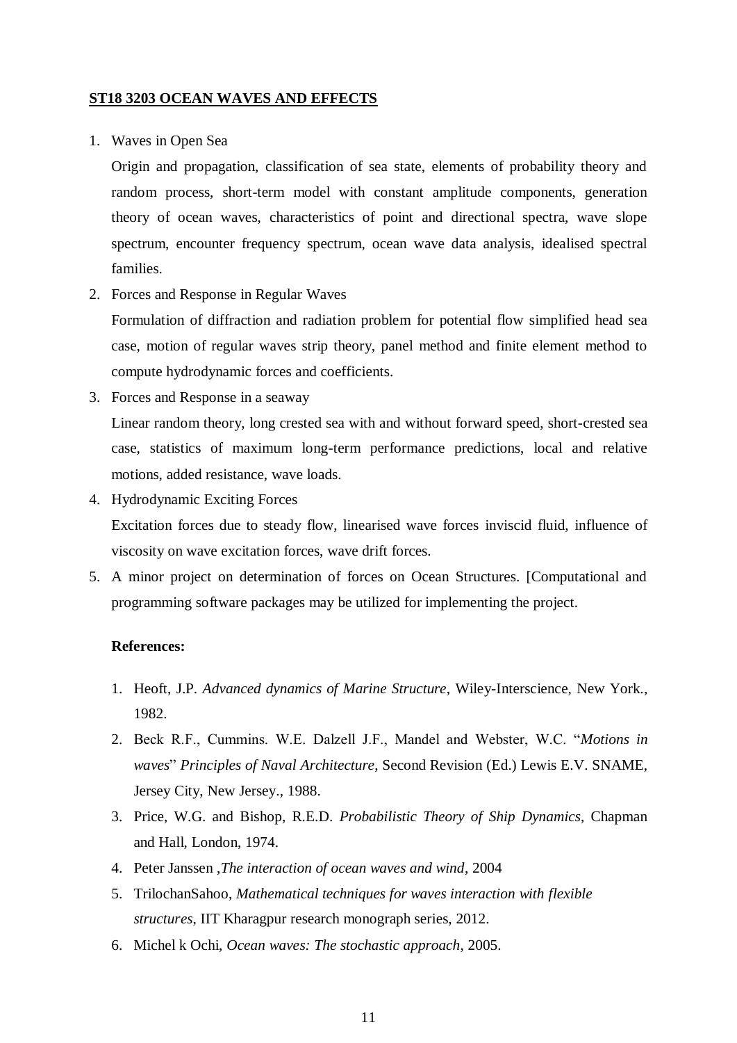#### **ST18 3203 OCEAN WAVES AND EFFECTS**

1. Waves in Open Sea

Origin and propagation, classification of sea state, elements of probability theory and random process, short-term model with constant amplitude components, generation theory of ocean waves, characteristics of point and directional spectra, wave slope spectrum, encounter frequency spectrum, ocean wave data analysis, idealised spectral families.

2. Forces and Response in Regular Waves

Formulation of diffraction and radiation problem for potential flow simplified head sea case, motion of regular waves strip theory, panel method and finite element method to compute hydrodynamic forces and coefficients.

- 3. Forces and Response in a seaway Linear random theory, long crested sea with and without forward speed, short-crested sea case, statistics of maximum long-term performance predictions, local and relative motions, added resistance, wave loads.
- 4. Hydrodynamic Exciting Forces Excitation forces due to steady flow, linearised wave forces inviscid fluid, influence of viscosity on wave excitation forces, wave drift forces.
- 5. A minor project on determination of forces on Ocean Structures. [Computational and programming software packages may be utilized for implementing the project.

- 1. Heoft, J.P*. Advanced dynamics of Marine Structure*, Wiley-Interscience, New York., 1982.
- 2. Beck R.F., Cummins. W.E. Dalzell J.F., Mandel and Webster, W.C. "*Motions in waves*" *Principles of Naval Architecture*, Second Revision (Ed.) Lewis E.V. SNAME, Jersey City, New Jersey., 1988.
- 3. Price, W.G. and Bishop, R.E.D. *Probabilistic Theory of Ship Dynamics*, Chapman and Hall, London, 1974.
- 4. Peter Janssen ,*The interaction of ocean waves and wind*, 2004
- 5. TrilochanSahoo, *Mathematical techniques for waves interaction with flexible structures*, IIT Kharagpur research monograph series, 2012.
- 6. Michel k Ochi, *Ocean waves: The stochastic approach*, 2005.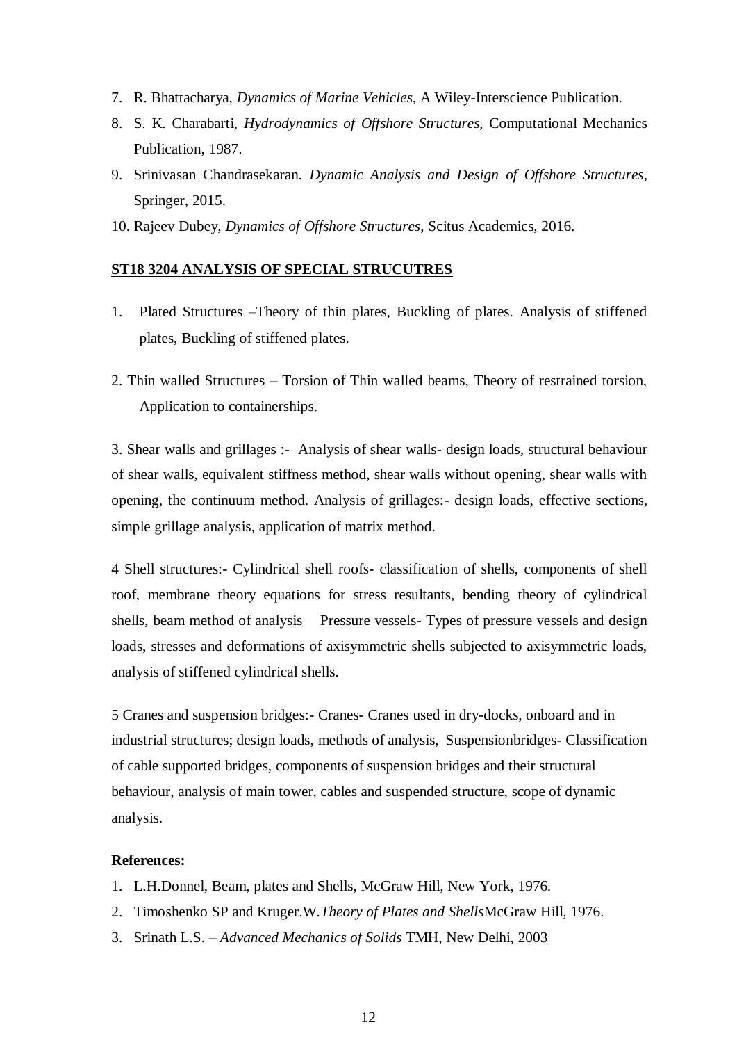- 7. R. Bhattacharya, *Dynamics of Marine Vehicles*, A Wiley-Interscience Publication.
- 8. S. K. Charabarti, *Hydrodynamics of Offshore Structures*, Computational Mechanics Publication, 1987.
- 9. Srinivasan Chandrasekaran. *Dynamic Analysis and Design of Offshore Structures*, Springer, 2015.
- 10. Rajeev Dubey, *Dynamics of Offshore Structures*, Scitus Academics, 2016.

#### **ST18 3204 ANALYSIS OF SPECIAL STRUCUTRES**

- 1. Plated Structures –Theory of thin plates, Buckling of plates. Analysis of stiffened plates, Buckling of stiffened plates.
- 2. Thin walled Structures Torsion of Thin walled beams, Theory of restrained torsion, Application to containerships.

3. Shear walls and grillages :- Analysis of shear walls- design loads, structural behaviour of shear walls, equivalent stiffness method, shear walls without opening, shear walls with opening, the continuum method. Analysis of grillages:- design loads, effective sections, simple grillage analysis, application of matrix method.

4 Shell structures:- Cylindrical shell roofs- classification of shells, components of shell roof, membrane theory equations for stress resultants, bending theory of cylindrical shells, beam method of analysis Pressure vessels- Types of pressure vessels and design loads, stresses and deformations of axisymmetric shells subjected to axisymmetric loads, analysis of stiffened cylindrical shells.

5 Cranes and suspension bridges:- Cranes- Cranes used in dry-docks, onboard and in industrial structures; design loads, methods of analysis, Suspensionbridges- Classification of cable supported bridges, components of suspension bridges and their structural behaviour, analysis of main tower, cables and suspended structure, scope of dynamic analysis.

- 1. L.H.Donnel, Beam, plates and Shells, McGraw Hill, New York, 1976.
- 2. Timoshenko SP and Kruger.W.*Theory of Plates and Shells*McGraw Hill, 1976.
- 3. Srinath L.S. *– Advanced Mechanics of Solids* TMH, New Delhi, 2003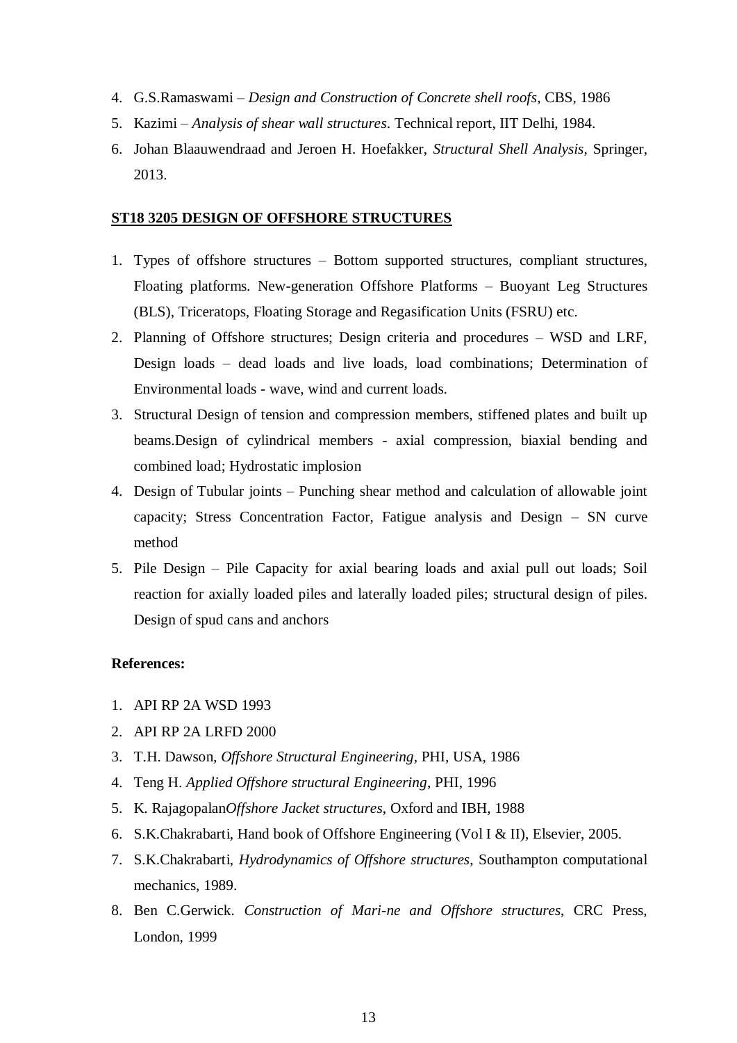- 4. G.S.Ramaswami *Design and Construction of Concrete shell roofs*, CBS, 1986
- 5. Kazimi *Analysis of shear wall structures*. Technical report, IIT Delhi, 1984.
- 6. Johan Blaauwendraad and Jeroen H. Hoefakker, *Structural Shell Analysis*, Springer, 2013.

#### **ST18 3205 DESIGN OF OFFSHORE STRUCTURES**

- 1. Types of offshore structures Bottom supported structures, compliant structures, Floating platforms. New-generation Offshore Platforms – Buoyant Leg Structures (BLS), Triceratops, Floating Storage and Regasification Units (FSRU) etc.
- 2. Planning of Offshore structures; Design criteria and procedures WSD and LRF, Design loads – dead loads and live loads, load combinations; Determination of Environmental loads - wave, wind and current loads.
- 3. Structural Design of tension and compression members, stiffened plates and built up beams.Design of cylindrical members - axial compression, biaxial bending and combined load; Hydrostatic implosion
- 4. Design of Tubular joints Punching shear method and calculation of allowable joint capacity; Stress Concentration Factor, Fatigue analysis and Design – SN curve method
- 5. Pile Design Pile Capacity for axial bearing loads and axial pull out loads; Soil reaction for axially loaded piles and laterally loaded piles; structural design of piles. Design of spud cans and anchors

- 1. API RP 2A WSD 1993
- 2. API RP 2A LRFD 2000
- 3. T.H. Dawson, *Offshore Structural Engineering*, PHI, USA, 1986
- 4. Teng H. *Applied Offshore structural Engineering*, PHI, 1996
- 5. K. Rajagopalan*Offshore Jacket structures*, Oxford and IBH, 1988
- 6. S.K.Chakrabarti, Hand book of Offshore Engineering (Vol I & II), Elsevier, 2005.
- 7. S.K.Chakrabarti, *Hydrodynamics of Offshore structures*, Southampton computational mechanics, 1989.
- 8. Ben C.Gerwick. *Construction of Mari-ne and Offshore structures*, CRC Press, London, 1999